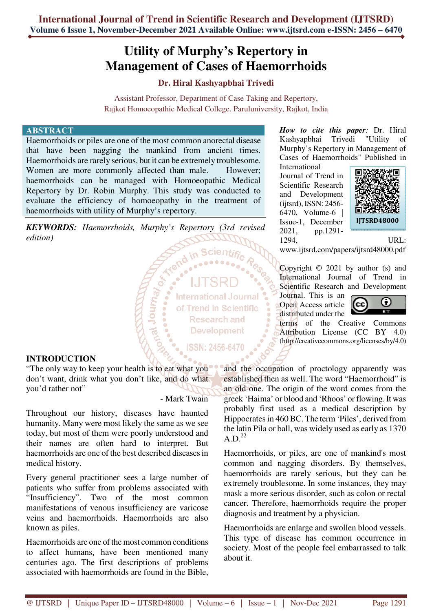# **Utility of Murphy's Repertory in Management of Cases of Haemorrhoids**

# **Dr. Hiral Kashyapbhai Trivedi**

Assistant Professor, Department of Case Taking and Repertory, Rajkot Homoeopathic Medical College, Paruluniversity, Rajkot, India

## **ABSTRACT**

Haemorrhoids or piles are one of the most common anorectal disease that have been nagging the mankind from ancient times. Haemorrhoids are rarely serious, but it can be extremely troublesome. Women are more commonly affected than male. However; haemorrhoids can be managed with Homoeopathic Medical Repertory by Dr. Robin Murphy. This study was conducted to evaluate the efficiency of homoeopathy in the treatment of haemorrhoids with utility of Murphy's repertory.

*KEYWORDS: Haemorrhoids, Murphy's Repertory (3rd revised edition)* 

**Micronal** 

**International Journal** of Trend in Scientific **Research and Development** 

ISSN: 2456-6470

**INTRODUCTION** 

"The only way to keep your health is to eat what you don't want, drink what you don't like, and do what you'd rather not"

- Mark Twain

Throughout our history, diseases have haunted humanity. Many were most likely the same as we see today, but most of them were poorly understood and their names are often hard to interpret. But haemorrhoids are one of the best described diseases in medical history.

Every general practitioner sees a large number of patients who suffer from problems associated with "Insufficiency". Two of the most common manifestations of venous insufficiency are varicose veins and haemorrhoids. Haemorrhoids are also known as piles.

Haemorrhoids are one of the most common conditions to affect humans, have been mentioned many centuries ago. The first descriptions of problems associated with haemorrhoids are found in the Bible,

*How to cite this paper:* Dr. Hiral Kashyapbhai Trivedi "Utility of Murphy's Repertory in Management of Cases of Haemorrhoids" Published in

International Journal of Trend in Scientific Research and Development (ijtsrd), ISSN: 2456- 6470, Volume-6 | Issue-1, December 2021, pp.1291- 1294, URL:



www.ijtsrd.com/papers/ijtsrd48000.pdf

Copyright  $\odot$  2021 by author (s) and International Journal of Trend in Scientific Research and Development

Journal. This is an Open Access article distributed under the



terms of the Creative Commons Attribution License (CC BY 4.0) (http://creativecommons.org/licenses/by/4.0)

and the occupation of proctology apparently was established then as well. The word "Haemorrhoid" is an old one. The origin of the word comes from the greek 'Haima' or blood and 'Rhoos' or flowing. It was probably first used as a medical description by Hippocrates in 460 BC. The term 'Piles', derived from the latin Pila or ball, was widely used as early as 1370  $A.D.<sup>22</sup>$ 

Haemorrhoids, or piles, are one of mankind's most common and nagging disorders. By themselves, haemorrhoids are rarely serious, but they can be extremely troublesome. In some instances, they may mask a more serious disorder, such as colon or rectal cancer. Therefore, haemorrhoids require the proper diagnosis and treatment by a physician.

Haemorrhoids are enlarge and swollen blood vessels. This type of disease has common occurrence in society. Most of the people feel embarrassed to talk about it.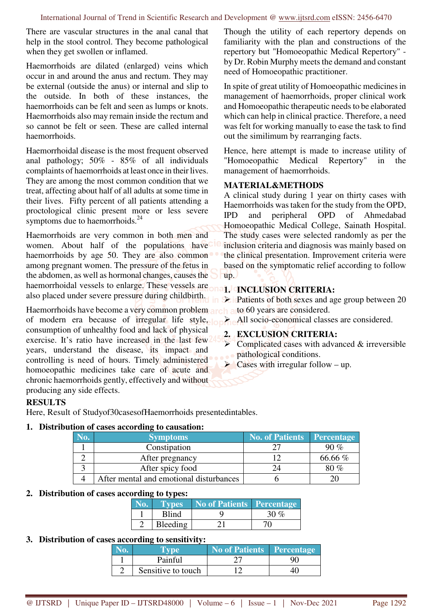There are vascular structures in the anal canal that help in the stool control. They become pathological when they get swollen or inflamed.

Haemorrhoids are dilated (enlarged) veins which occur in and around the anus and rectum. They may be external (outside the anus) or internal and slip to the outside. In both of these instances, the haemorrhoids can be felt and seen as lumps or knots. Haemorrhoids also may remain inside the rectum and so cannot be felt or seen. These are called internal haemorrhoids.

Haemorrhoidal disease is the most frequent observed anal pathology; 50% - 85% of all individuals complaints of haemorrhoids at least once in their lives. They are among the most common condition that we treat, affecting about half of all adults at some time in their lives. Fifty percent of all patients attending a proctological clinic present more or less severe symptoms due to haemorrhoids.<sup>24</sup>

Haemorrhoids are very common in both men and women. About half of the populations have haemorrhoids by age 50. They are also common among pregnant women. The pressure of the fetus in the abdomen, as well as hormonal changes, causes the haemorrhoidal vessels to enlarge. These vessels are also placed under severe pressure during childbirth.

Haemorrhoids have become a very common problem arch a to 60 years are considered. of modern era because of irregular life style, or consumption of unhealthy food and lack of physical exercise. It's ratio have increased in the last few years, understand the disease, its impact and controlling is need of hours. Timely administered homoeopathic medicines take care of acute and chronic haemorrhoids gently, effectively and without producing any side effects.

# **RESULTS**

Here, Result of Studyof30casesofHaemorrhoids presentedintables.

## **1. Distribution of cases according to causation:**

| <b>Symptoms</b>                         | <b>No. of Patients</b> | <b>Percentage</b> |
|-----------------------------------------|------------------------|-------------------|
| Constipation                            |                        | 90 %              |
| After pregnancy                         |                        | 66.66 %           |
| After spicy food                        |                        | 80 %              |
| After mental and emotional disturbances |                        |                   |

## **2. Distribution of cases according to types:**

| Types    | No of Patients Percentage |      |
|----------|---------------------------|------|
| Blind    |                           | 30 g |
| Bleeding |                           |      |

## **3. Distribution of cases according to sensitivity:**

| lo. | <b>Tyne</b>        | No of Patients   Percentage |  |
|-----|--------------------|-----------------------------|--|
|     | Painful            |                             |  |
|     | Sensitive to touch |                             |  |

Though the utility of each repertory depends on familiarity with the plan and constructions of the repertory but "Homoeopathic Medical Repertory" by Dr. Robin Murphy meets the demand and constant need of Homoeopathic practitioner.

In spite of great utility of Homoeopathic medicines in management of haemorrhoids, proper clinical work and Homoeopathic therapeutic needs to be elaborated which can help in clinical practice. Therefore, a need was felt for working manually to ease the task to find out the similimum by rearranging facts.

Hence, here attempt is made to increase utility of "Homoeopathic Medical Repertory" in the management of haemorrhoids.

## **MATERIAL&METHODS**

A clinical study during 1 year on thirty cases with Haemorrhoids was taken for the study from the OPD, IPD and peripheral OPD of Ahmedabad Homoeopathic Medical College, Sainath Hospital. The study cases were selected randomly as per the inclusion criteria and diagnosis was mainly based on the clinical presentation. Improvement criteria were based on the symptomatic relief according to follow up.

# **1. INCLUSION CRITERIA:**

Patients of both sexes and age group between 20

All socio-economical classes are considered.

## **2. EXCLUSION CRITERIA:**

- $\triangleright$  Complicated cases with advanced & irreversible pathological conditions.
- $\triangleright$  Cases with irregular follow up.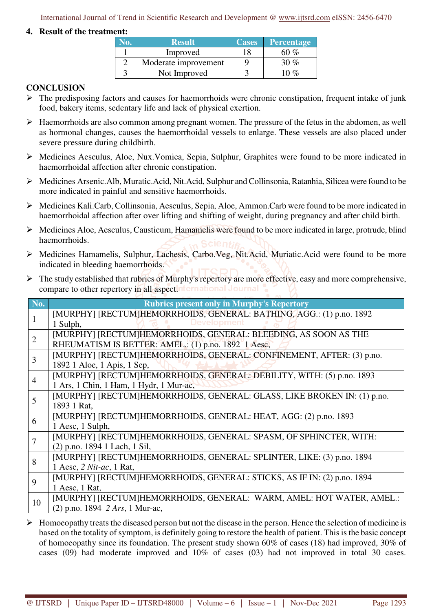International Journal of Trend in Scientific Research and Development @ www.ijtsrd.com eISSN: 2456-6470

# **4. Result of the treatment:**

| <b>Result</b>        | <b>Cases</b> | <b>Percentage</b> |
|----------------------|--------------|-------------------|
| Improved             |              | 60 %              |
| Moderate improvement |              |                   |
| Not Improved         |              |                   |

# **CONCLUSION**

- $\triangleright$  The predisposing factors and causes for haemorrhoids were chronic constipation, frequent intake of junk food, bakery items, sedentary life and lack of physical exertion.
- Haemorrhoids are also common among pregnant women. The pressure of the fetus in the abdomen, as well as hormonal changes, causes the haemorrhoidal vessels to enlarge. These vessels are also placed under severe pressure during childbirth.
- $\triangleright$  Medicines Aesculus, Aloe, Nux. Vomica, Sepia, Sulphur, Graphites were found to be more indicated in haemorrhoidal affection after chronic constipation.
- Medicines Arsenic.Alb, Muratic.Acid, Nit.Acid, Sulphur and Collinsonia, Ratanhia, Silicea were found to be more indicated in painful and sensitive haemorrhoids.
- Medicines Kali.Carb, Collinsonia, Aesculus, Sepia, Aloe, Ammon.Carb were found to be more indicated in haemorrhoidal affection after over lifting and shifting of weight, during pregnancy and after child birth.
- $\triangleright$  Medicines Aloe, Aesculus, Causticum, Hamamelis were found to be more indicated in large, protrude, blind haemorrhoids.
- Medicines Hamamelis, Sulphur, Lachesis, Carbo.Veg, Nit.Acid, Muriatic.Acid were found to be more indicated in bleeding haemorrhoids.
- $\triangleright$  The study established that rubrics of Murphy's repertory are more effective, easy and more comprehensive, compare to other repertory in all aspect. International Journal

| No.            | <b>Rubrics present only in Murphy's Repertory</b>                       |
|----------------|-------------------------------------------------------------------------|
| 1              | [MURPHY] [RECTUM]HEMORRHOIDS, GENERAL: BATHING, AGG.: (1) p.no. 1892    |
|                | Development<br>1 Sulph,                                                 |
| $\overline{2}$ | [MURPHY] [RECTUM]HEMORRHOIDS, GENERAL: BLEEDING, AS SOON AS THE         |
|                | RHEUMATISM IS BETTER: AMEL.: (1) p.no. 1892 1 Aesc,                     |
| $\overline{3}$ | [MURPHY] [RECTUM]HEMORRHOIDS, GENERAL: CONFINEMENT, AFTER: (3) p.no.    |
|                | 1892 1 Aloe, 1 Apis, 1 Sep,                                             |
| $\overline{4}$ | [MURPHY] [RECTUM]HEMORRHOIDS, GENERAL: DEBILITY, WITH: (5) p.no. 1893   |
|                | 1 Ars, 1 Chin, 1 Ham, 1 Hydr, 1 Mur-ac,                                 |
| 5              | [MURPHY] [RECTUM]HEMORRHOIDS, GENERAL: GLASS, LIKE BROKEN IN: (1) p.no. |
|                | 1893 1 Rat,                                                             |
| 6              | [MURPHY] [RECTUM]HEMORRHOIDS, GENERAL: HEAT, AGG: (2) p.no. 1893        |
|                | 1 Aesc, 1 Sulph,                                                        |
| $\overline{7}$ | [MURPHY] [RECTUM]HEMORRHOIDS, GENERAL: SPASM, OF SPHINCTER, WITH:       |
|                | (2) p.no. 1894 1 Lach, 1 Sil,                                           |
| 8              | [MURPHY] [RECTUM]HEMORRHOIDS, GENERAL: SPLINTER, LIKE: (3) p.no. 1894   |
|                | 1 Aesc, 2 Nit-ac, 1 Rat,                                                |
| 9              | [MURPHY] [RECTUM]HEMORRHOIDS, GENERAL: STICKS, AS IF IN: (2) p.no. 1894 |
|                | 1 Aesc, 1 Rat,                                                          |
| 10             | [MURPHY] [RECTUM]HEMORRHOIDS, GENERAL: WARM, AMEL: HOT WATER, AMEL.:    |
|                | (2) p.no. 1894 2 Ars, 1 Mur-ac,                                         |

 $\triangleright$  Homoeopathy treats the diseased person but not the disease in the person. Hence the selection of medicine is based on the totality of symptom, is definitely going to restore the health of patient. This is the basic concept of homoeopathy since its foundation. The present study shown 60% of cases (18) had improved, 30% of cases (09) had moderate improved and 10% of cases (03) had not improved in total 30 cases.